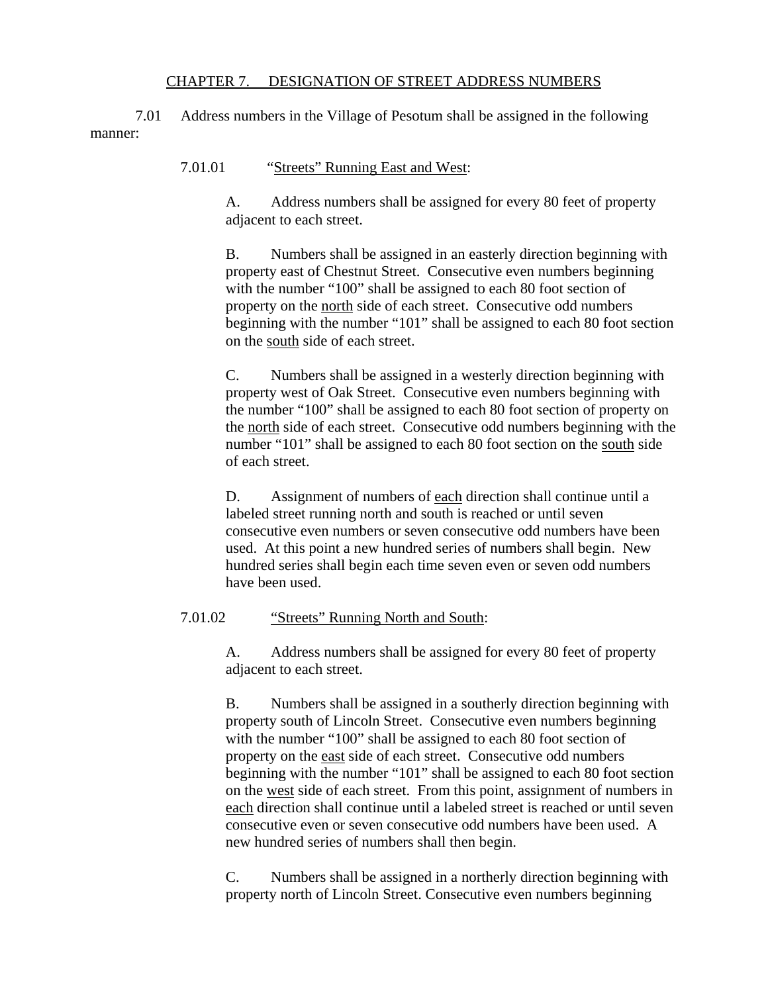## CHAPTER 7. DESIGNATION OF STREET ADDRESS NUMBERS

7.01 Address numbers in the Village of Pesotum shall be assigned in the following manner:

7.01.01 "Streets" Running East and West:

A. Address numbers shall be assigned for every 80 feet of property adjacent to each street.

B. Numbers shall be assigned in an easterly direction beginning with property east of Chestnut Street. Consecutive even numbers beginning with the number "100" shall be assigned to each 80 foot section of property on the north side of each street. Consecutive odd numbers beginning with the number "101" shall be assigned to each 80 foot section on the south side of each street.

C. Numbers shall be assigned in a westerly direction beginning with property west of Oak Street. Consecutive even numbers beginning with the number "100" shall be assigned to each 80 foot section of property on the north side of each street. Consecutive odd numbers beginning with the number "101" shall be assigned to each 80 foot section on the south side of each street.

D. Assignment of numbers of each direction shall continue until a labeled street running north and south is reached or until seven consecutive even numbers or seven consecutive odd numbers have been used. At this point a new hundred series of numbers shall begin. New hundred series shall begin each time seven even or seven odd numbers have been used.

## 7.01.02 "Streets" Running North and South:

A. Address numbers shall be assigned for every 80 feet of property adjacent to each street.

B. Numbers shall be assigned in a southerly direction beginning with property south of Lincoln Street. Consecutive even numbers beginning with the number "100" shall be assigned to each 80 foot section of property on the east side of each street. Consecutive odd numbers beginning with the number "101" shall be assigned to each 80 foot section on the west side of each street. From this point, assignment of numbers in each direction shall continue until a labeled street is reached or until seven consecutive even or seven consecutive odd numbers have been used. A new hundred series of numbers shall then begin.

C. Numbers shall be assigned in a northerly direction beginning with property north of Lincoln Street. Consecutive even numbers beginning